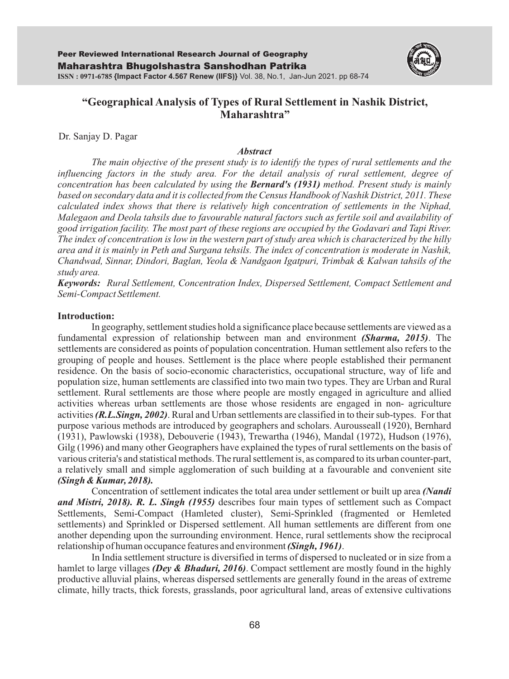

# **"Geographical Analysis of Types of Rural Settlement in Nashik District, Maharashtra"**

Dr. Sanjay D. Pagar

#### *Abstract*

 *The main objective of the present study is to identify the types of rural settlements and the influencing factors in the study area. For the detail analysis of rural settlement, degree of concentration has been calculated by using the Bernard's (1931) method. Present study is mainly based on secondary data and it is collected from the Census Handbook of Nashik District, 2011. These calculated index shows that there is relatively high concentration of settlements in the Niphad, Malegaon and Deola tahsils due to favourable natural factors such as fertile soil and availability of good irrigation facility. The most part of these regions are occupied by the Godavari and Tapi River. The index of concentration is low in the western part of study area which is characterized by the hilly area and it is mainly in Peth and Surgana tehsils. The index of concentration is moderate in Nashik, Chandwad, Sinnar, Dindori, Baglan, Yeola & Nandgaon Igatpuri, Trimbak & Kalwan tahsils of the study area.*

*Keywords: Rural Settlement, Concentration Index, Dispersed Settlement, Compact Settlement and Semi-Compact Settlement.* 

## **Introduction:**

In geography, settlement studies hold a significance place because settlements are viewed as a fundamental expression of relationship between man and environment *(Sharma, 2015)*. The settlements are considered as points of population concentration. Human settlement also refers to the grouping of people and houses. Settlement is the place where people established their permanent residence. On the basis of socio-economic characteristics, occupational structure, way of life and population size, human settlements are classified into two main two types. They are Urban and Rural settlement. Rural settlements are those where people are mostly engaged in agriculture and allied activities whereas urban settlements are those whose residents are engaged in non- agriculture activities *(R.L.Singn, 2002)*. Rural and Urban settlements are classified in to their sub-types. For that purpose various methods are introduced by geographers and scholars. Aurousseall (1920), Bernhard (1931), Pawlowski (1938), Debouverie (1943), Trewartha (1946), Mandal (1972), Hudson (1976), Gilg (1996) and many other Geographers have explained the types of rural settlements on the basis of various criteria's and statistical methods. The rural settlement is, as compared to its urban counter-part, a relatively small and simple agglomeration of such building at a favourable and convenient site *(Singh & Kumar, 2018).*

Concentration of settlement indicates the total area under settlement or built up area *(Nandi and Mistri, 2018). R. L. Singh (1955)* describes four main types of settlement such as Compact Settlements, Semi-Compact (Hamleted cluster), Semi-Sprinkled (fragmented or Hemleted settlements) and Sprinkled or Dispersed settlement. All human settlements are different from one another depending upon the surrounding environment. Hence, rural settlements show the reciprocal relationship of human occupance features and environment*(Singh, 1961)*.

In India settlement structure is diversified in terms of dispersed to nucleated or in size from a hamlet to large villages *(Dey & Bhaduri, 2016)*. Compact settlement are mostly found in the highly productive alluvial plains, whereas dispersed settlements are generally found in the areas of extreme climate, hilly tracts, thick forests, grasslands, poor agricultural land, areas of extensive cultivations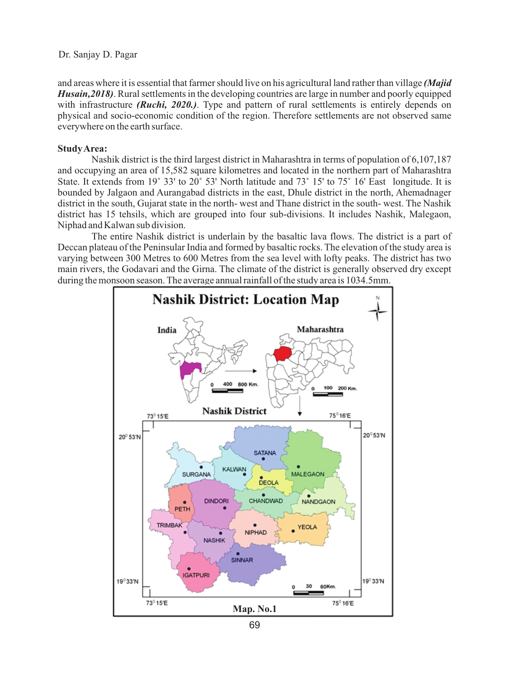and areas where it is essential that farmer should live on his agricultural land rather than village *(Majid Husain,2018)*. Rural settlements in the developing countries are large in number and poorly equipped with infrastructure *(Ruchi, 2020.)*. Type and pattern of rural settlements is entirely depends on physical and socio-economic condition of the region. Therefore settlements are not observed same everywhere on the earth surface.

## **Study Area:**

Nashik district is the third largest district in Maharashtra in terms of population of 6,107,187 and occupying an area of 15,582 square kilometres and located in the northern part of Maharashtra State. It extends from  $19° 33'$  to  $20° 53'$  North latitude and  $73° 15'$  to  $75° 16'$  East longitude. It is bounded by Jalgaon and Aurangabad districts in the east, Dhule district in the north, Ahemadnager district in the south, Gujarat state in the north- west and Thane district in the south- west. The Nashik district has 15 tehsils, which are grouped into four sub-divisions. It includes Nashik, Malegaon, Niphad and Kalwan sub division.

The entire Nashik district is underlain by the basaltic lava flows. The district is a part of Deccan plateau of the Peninsular India and formed by basaltic rocks. The elevation of the study area is varying between 300 Metres to 600 Metres from the sea level with lofty peaks. The district has two main rivers, the Godavari and the Girna. The climate of the district is generally observed dry except during the monsoon season. The average annual rainfall of the study area is 1034.5mm.

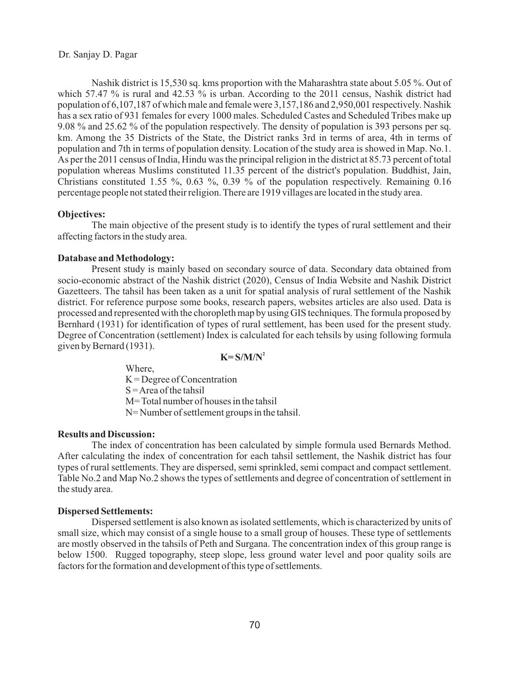#### Dr. Sanjay D. Pagar

Nashik district is 15,530 sq. kms proportion with the Maharashtra state about 5.05 %. Out of which 57.47 % is rural and 42.53 % is urban. According to the 2011 census, Nashik district had population of 6,107,187 of which male and female were 3,157,186 and 2,950,001 respectively. Nashik has a sex ratio of 931 females for every 1000 males. Scheduled Castes and Scheduled Tribes make up 9.08 % and 25.62 % of the population respectively. The density of population is 393 persons per sq. km. Among the 35 Districts of the State, the District ranks 3rd in terms of area, 4th in terms of population and 7th in terms of population density. Location of the study area is showed in Map. No.1. As per the 2011 census of India, Hindu was the principal religion in the district at 85.73 percent of total population whereas Muslims constituted 11.35 percent of the district's population. Buddhist, Jain, Christians constituted 1.55 %, 0.63 %, 0.39 % of the population respectively. Remaining 0.16 percentage people not stated their religion. There are 1919 villages are located in the study area.

#### **Objectives:**

The main objective of the present study is to identify the types of rural settlement and their affecting factors in the study area.

### **Database and Methodology:**

Present study is mainly based on secondary source of data. Secondary data obtained from socio-economic abstract of the Nashik district (2020), Census of India Website and Nashik District Gazetteers. The tahsil has been taken as a unit for spatial analysis of rural settlement of the Nashik district. For reference purpose some books, research papers, websites articles are also used. Data is processed and represented with the choropleth map by using GIS techniques. The formula proposed by Bernhard (1931) for identification of types of rural settlement, has been used for the present study. Degree of Concentration (settlement) Index is calculated for each tehsils by using following formula given by Bernard (1931).

## $K = S/M/N^2$

Where, K = Degree of Concentration  $S =$ Area of the tahsil M= Total number of houses in the tahsil N= Number of settlement groups in the tahsil.

#### **Results and Discussion:**

The index of concentration has been calculated by simple formula used Bernards Method. After calculating the index of concentration for each tahsil settlement, the Nashik district has four types of rural settlements. They are dispersed, semi sprinkled, semi compact and compact settlement. Table No.2 and Map No.2 shows the types of settlements and degree of concentration of settlement in the study area.

#### **Dispersed Settlements:**

Dispersed settlement is also known as isolated settlements, which is characterized by units of small size, which may consist of a single house to a small group of houses. These type of settlements are mostly observed in the tahsils of Peth and Surgana. The concentration index of this group range is below 1500. Rugged topography, steep slope, less ground water level and poor quality soils are factors for the formation and development of this type of settlements.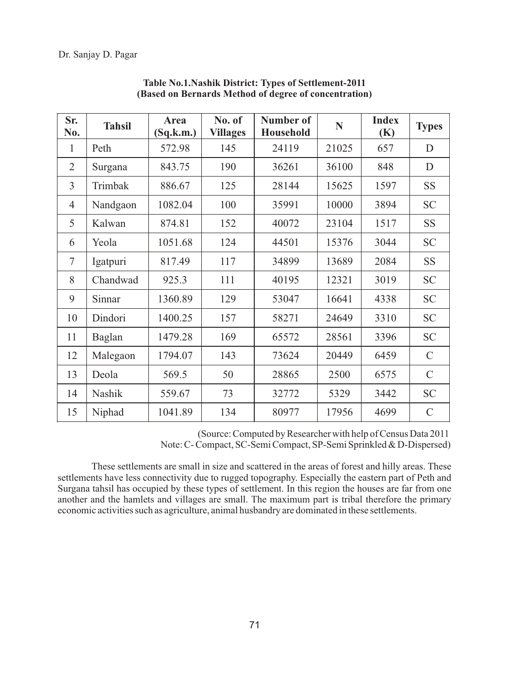| Sr.<br>No.     | <b>Tahsil</b> | Area<br>(Sq.k.m.) | No. of<br><b>Villages</b> | Number of<br>Household | $\mathbf N$ | <b>Index</b><br>(K) | <b>Types</b>  |
|----------------|---------------|-------------------|---------------------------|------------------------|-------------|---------------------|---------------|
| 1              | Peth          | 572.98            | 145                       | 24119                  | 21025       | 657                 | D             |
| $\overline{2}$ | Surgana       | 843.75            | 190                       | 36261                  | 36100       | 848                 | D             |
| 3              | Trimbak       | 886.67            | 125                       | 28144                  | 15625       | 1597                | <b>SS</b>     |
| $\overline{4}$ | Nandgaon      | 1082.04           | 100                       | 35991                  | 10000       | 3894                | <b>SC</b>     |
| 5              | Kalwan        | 874.81            | 152                       | 40072                  | 23104       | 1517                | <b>SS</b>     |
| 6              | Yeola         | 1051.68           | 124                       | 44501                  | 15376       | 3044                | <b>SC</b>     |
| 7              | Igatpuri      | 817.49            | 117                       | 34899                  | 13689       | 2084                | <b>SS</b>     |
| 8              | Chandwad      | 925.3             | 111                       | 40195                  | 12321       | 3019                | <b>SC</b>     |
| 9              | Sinnar        | 1360.89           | 129                       | 53047                  | 16641       | 4338                | <b>SC</b>     |
| 10             | Dindori       | 1400.25           | 157                       | 58271                  | 24649       | 3310                | <b>SC</b>     |
| 11             | Baglan        | 1479.28           | 169                       | 65572                  | 28561       | 3396                | <b>SC</b>     |
| 12             | Malegaon      | 1794.07           | 143                       | 73624                  | 20449       | 6459                | $\mathcal{C}$ |
| 13             | Deola         | 569.5             | 50                        | 28865                  | 2500        | 6575                | $\mathcal{C}$ |
| 14             | Nashik        | 559.67            | 73                        | 32772                  | 5329        | 3442                | <b>SC</b>     |
| 15             | Niphad        | 1041.89           | 134                       | 80977                  | 17956       | 4699                | $\mathcal{C}$ |

## **Table No.1.Nashik District: Types of Settlement-2011 (Based on Bernards Method of degree of concentration)**

 (Source: Computed by Researcher with help of Census Data 2011 Note: C- Compact, SC-Semi Compact, SP-Semi Sprinkled & D-Dispersed)

These settlements are small in size and scattered in the areas of forest and hilly areas. These settlements have less connectivity due to rugged topography. Especially the eastern part of Peth and Surgana tahsil has occupied by these types of settlement. In this region the houses are far from one another and the hamlets and villages are small. The maximum part is tribal therefore the primary economic activities such as agriculture, animal husbandry are dominated in these settlements.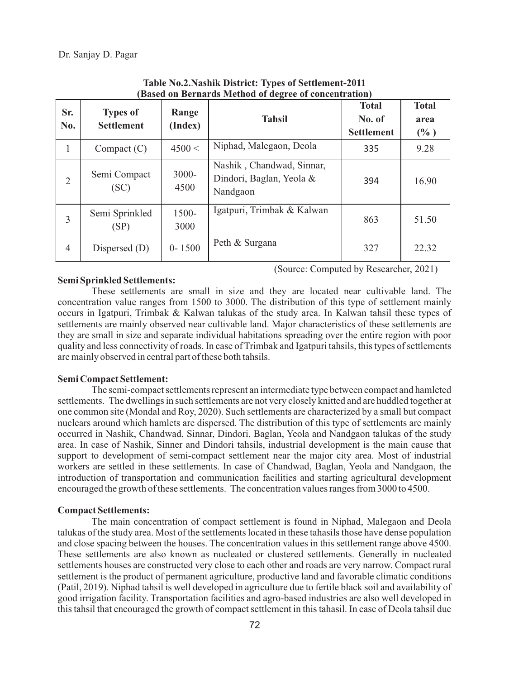| Sr.<br>No.     | <b>Types of</b><br><b>Settlement</b> | Range<br>(Index) | <b>Tahsil</b>                                                     | <b>Total</b><br>No. of<br><b>Settlement</b> | <b>Total</b><br>area<br>$(\% )$ |
|----------------|--------------------------------------|------------------|-------------------------------------------------------------------|---------------------------------------------|---------------------------------|
| 1              | Compact(C)                           | 4500 <           | Niphad, Malegaon, Deola                                           | 335                                         | 9.28                            |
| $\overline{2}$ | Semi Compact<br>(SC)                 | $3000 -$<br>4500 | Nashik, Chandwad, Sinnar,<br>Dindori, Baglan, Yeola &<br>Nandgaon | 394                                         | 16.90                           |
| 3              | Semi Sprinkled<br>(SP)               | $1500 -$<br>3000 | Igatpuri, Trimbak & Kalwan                                        | 863                                         | 51.50                           |
| $\overline{4}$ | Dispersed $(D)$                      | $0 - 1500$       | Peth & Surgana                                                    | 327                                         | 22.32                           |

#### **Table No.2.Nashik District: Types of Settlement-2011 (Based on Bernards Method of degree of concentration)**

## **Semi Sprinkled Settlements:**

(Source: Computed by Researcher, 2021)

These settlements are small in size and they are located near cultivable land. The concentration value ranges from 1500 to 3000. The distribution of this type of settlement mainly occurs in Igatpuri, Trimbak & Kalwan talukas of the study area. In Kalwan tahsil these types of settlements are mainly observed near cultivable land. Major characteristics of these settlements are they are small in size and separate individual habitations spreading over the entire region with poor quality and less connectivity of roads. In case of Trimbak and Igatpuri tahsils, this types of settlements are mainly observed in central part of these both tahsils.

#### **Semi Compact Settlement:**

The semi-compact settlements represent an intermediate type between compact and hamleted settlements. The dwellings in such settlements are not very closely knitted and are huddled together at one common site (Mondal and Roy, 2020). Such settlements are characterized by a small but compact nuclears around which hamlets are dispersed. The distribution of this type of settlements are mainly occurred in Nashik, Chandwad, Sinnar, Dindori, Baglan, Yeola and Nandgaon talukas of the study area. In case of Nashik, Sinner and Dindori tahsils, industrial development is the main cause that support to development of semi-compact settlement near the major city area. Most of industrial workers are settled in these settlements. In case of Chandwad, Baglan, Yeola and Nandgaon, the introduction of transportation and communication facilities and starting agricultural development encouraged the growth of these settlements. The concentration values ranges from 3000 to 4500.

#### **Compact Settlements:**

The main concentration of compact settlement is found in Niphad, Malegaon and Deola talukas of the study area. Most of the settlements located in these tahasils those have dense population and close spacing between the houses. The concentration values in this settlement range above 4500. These settlements are also known as nucleated or clustered settlements. Generally in nucleated settlements houses are constructed very close to each other and roads are very narrow. Compact rural settlement is the product of permanent agriculture, productive land and favorable climatic conditions (Patil, 2019). Niphad tahsil is well developed in agriculture due to fertile black soil and availability of good irrigation facility. Transportation facilities and agro-based industries are also well developed in this tahsil that encouraged the growth of compact settlement in this tahasil. In case of Deola tahsil due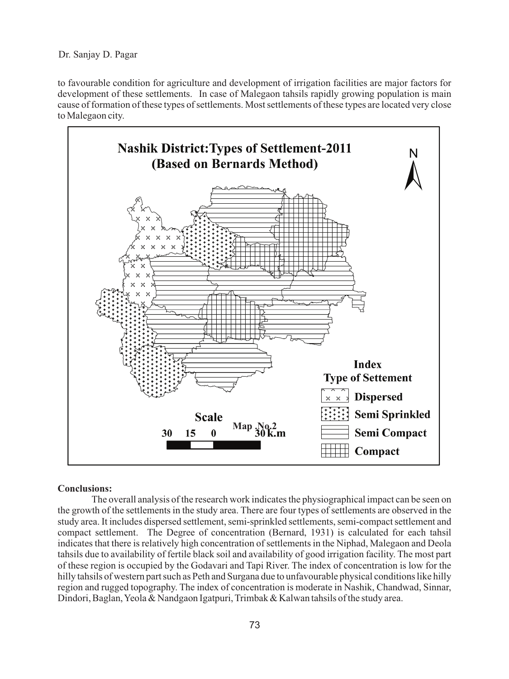to favourable condition for agriculture and development of irrigation facilities are major factors for development of these settlements. In case of Malegaon tahsils rapidly growing population is main cause of formation of these types of settlements. Most settlements of these types are located very close to Malegaon city.



#### **Conclusions:**

The overall analysis of the research work indicates the physiographical impact can be seen on the growth of the settlements in the study area. There are four types of settlements are observed in the study area. It includes dispersed settlement, semi-sprinkled settlements, semi-compact settlement and compact settlement. The Degree of concentration (Bernard, 1931) is calculated for each tahsil indicates that there is relatively high concentration of settlements in the Niphad, Malegaon and Deola tahsils due to availability of fertile black soil and availability of good irrigation facility. The most part of these region is occupied by the Godavari and Tapi River. The index of concentration is low for the hilly tahsils of western part such as Peth and Surgana due to unfavourable physical conditions like hilly region and rugged topography. The index of concentration is moderate in Nashik, Chandwad, Sinnar, Dindori, Baglan, Yeola & Nandgaon Igatpuri, Trimbak & Kalwan tahsils of the study area.